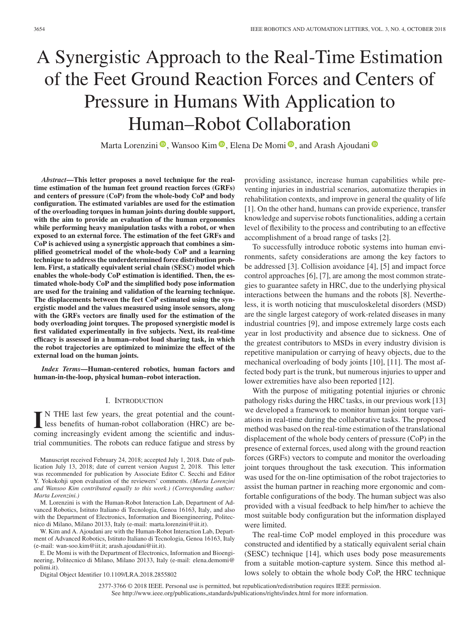# A Synergistic Approach to the Real-Time Estimation of the Feet Ground Reaction Forces and Centers of Pressure in Humans With Application to Human–Robot Collaboration

Marta Lorenzini <sup>(10</sup>)[,](https://orcid.org/0000-0002-8819-2734) Wansoo Kim <sup>(10</sup>), Elena De Momi <sup>(10</sup>), and Arash Ajoudani <sup>(20)</sup>

*Abstract***—This letter proposes a novel technique for the realtime estimation of the human feet ground reaction forces (GRFs) and centers of pressure (CoP) from the whole-body CoP and body configuration. The estimated variables are used for the estimation of the overloading torques in human joints during double support, with the aim to provide an evaluation of the human ergonomics while performing heavy manipulation tasks with a robot, or when exposed to an external force. The estimation of the feet GRFs and CoP is achieved using a synergistic approach that combines a simplified geometrical model of the whole-body CoP and a learning technique to address the underdetermined force distribution problem. First, a statically equivalent serial chain (SESC) model which enables the whole-body CoP estimation is identified. Then, the estimated whole-body CoP and the simplified body pose information are used for the training and validation of the learning technique. The displacements between the feet CoP estimated using the synergistic model and the values measured using insole sensors, along with the GRFs vectors are finally used for the estimation of the body overloading joint torques. The proposed synergistic model is first validated experimentally in five subjects. Next, its real-time efficacy is assessed in a human–robot load sharing task, in which the robot trajectories are optimized to minimize the effect of the external load on the human joints.**

*Index Terms***—Human-centered robotics, human factors and human-in-the-loop, physical human–robot interaction.**

## I. INTRODUCTION

In THE last few years, the great potential and the count-<br>less benefits of human-robot collaboration (HRC) are be-<br>coming increasingly evident emong the scientific and indus N THE last few years, the great potential and the countcoming increasingly evident among the scientific and industrial communities. The robots can reduce fatigue and stress by

Manuscript received February 24, 2018; accepted July 1, 2018. Date of publication July 13, 2018; date of current version August 2, 2018. This letter was recommended for publication by Associate Editor C. Secchi and Editor Y. Yokokohji upon evaluation of the reviewers' comments. *(Marta Lorenzini and Wansoo Kim contributed equally to this work.) (Corresponding author: Marta Lorenzini.)*

M. Lorenzini is with the Human-Robot Interaction Lab, Department of Advanced Robotics, Istituto Italiano di Tecnologia, Genoa 16163, Italy, and also with the Department of Electronics, Information and Bioengineering, Politecnico di Milano, Milano 20133, Italy (e-mail: marta.lorenzini@iit.it).

W. Kim and A. Ajoudani are with the Human-Robot Interaction Lab, Department of Advanced Robotics, Istituto Italiano di Tecnologia, Genoa 16163, Italy (e-mail: wan-soo.kim@iit.it; [arash.ajoudani@iit.it\)](mailto:arash.ajoudani@iit.it).

E. De Momi is with the Department of Electronics, Information and Bioengineering, Politecnico di Milano, Milano 20133, Italy (e-mail: [elena.demomi@](mailto:elena.demomi@global advance reakcnt @ne penalty -@M polimi.it) [polimi.it\)](mailto:elena.demomi@global advance reakcnt @ne penalty -@M polimi.it).

Digital Object Identifier 10.1109/LRA.2018.2855802

providing assistance, increase human capabilities while preventing injuries in industrial scenarios, automatize therapies in rehabilitation contexts, and improve in general the quality of life [1]. On the other hand, humans can provide experience, transfer knowledge and supervise robots functionalities, adding a certain level of flexibility to the process and contributing to an effective accomplishment of a broad range of tasks [2].

To successfully introduce robotic systems into human environments, safety considerations are among the key factors to be addressed [3]. Collision avoidance [4], [5] and impact force control approaches [6], [7], are among the most common strategies to guarantee safety in HRC, due to the underlying physical interactions between the humans and the robots [8]. Nevertheless, it is worth noticing that musculoskeletal disorders (MSD) are the single largest category of work-related diseases in many industrial countries [9], and impose extremely large costs each year in lost productivity and absence due to sickness. One of the greatest contributors to MSDs in every industry division is repetitive manipulation or carrying of heavy objects, due to the mechanical overloading of body joints [10], [11]. The most affected body part is the trunk, but numerous injuries to upper and lower extremities have also been reported [12].

With the purpose of mitigating potential injuries or chronic pathology risks during the HRC tasks, in our previous work [13] we developed a framework to monitor human joint torque variations in real-time during the collaborative tasks. The proposed method was based on the real-time estimation of the translational displacement of the whole body centers of pressure (CoP) in the presence of external forces, used along with the ground reaction forces (GRFs) vectors to compute and monitor the overloading joint torques throughout the task execution. This information was used for the on-line optimisation of the robot trajectories to assist the human partner in reaching more ergonomic and comfortable configurations of the body. The human subject was also provided with a visual feedback to help him/her to achieve the most suitable body configuration but the information displayed were limited.

The real-time CoP model employed in this procedure was constructed and identified by a statically equivalent serial chain (SESC) technique [14], which uses body pose measurements from a suitable motion-capture system. Since this method allows solely to obtain the whole body CoP, the HRC technique

2377-3766 © 2018 IEEE. Personal use is permitted, but republication/redistribution requires IEEE permission. See http://www.ieee.org/publications standards/publications/rights/index.html for more information.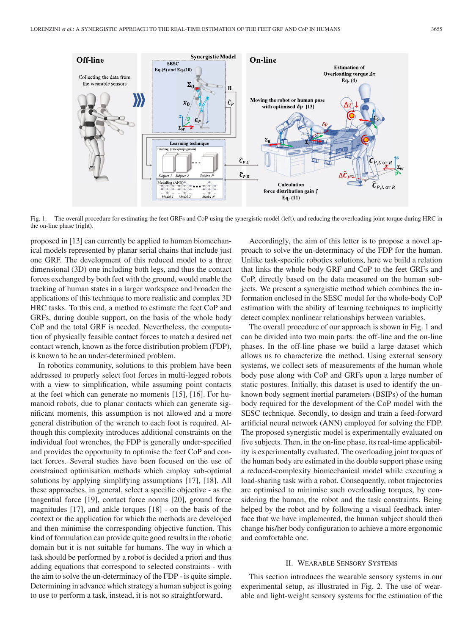

Fig. 1. The overall procedure for estimating the feet GRFs and CoP using the synergistic model (left), and reducing the overloading joint torque during HRC in the on-line phase (right).

proposed in [13] can currently be applied to human biomechanical models represented by planar serial chains that include just one GRF. The development of this reduced model to a three dimensional (3D) one including both legs, and thus the contact forces exchanged by both feet with the ground, would enable the tracking of human states in a larger workspace and broaden the applications of this technique to more realistic and complex 3D HRC tasks. To this end, a method to estimate the feet CoP and GRFs, during double support, on the basis of the whole body CoP and the total GRF is needed. Nevertheless, the computation of physically feasible contact forces to match a desired net contact wrench, known as the force distribution problem (FDP), is known to be an under-determined problem.

In robotics community, solutions to this problem have been addressed to properly select foot forces in multi-legged robots with a view to simplification, while assuming point contacts at the feet which can generate no moments [15], [16]. For humanoid robots, due to planar contacts which can generate significant moments, this assumption is not allowed and a more general distribution of the wrench to each foot is required. Although this complexity introduces additional constraints on the individual foot wrenches, the FDP is generally under-specified and provides the opportunity to optimise the feet CoP and contact forces. Several studies have been focused on the use of constrained optimisation methods which employ sub-optimal solutions by applying simplifying assumptions [17], [18]. All these approaches, in general, select a specific objective - as the tangential force [19], contact force norms [20], ground force magnitudes [17], and ankle torques [18] - on the basis of the context or the application for which the methods are developed and then minimise the corresponding objective function. This kind of formulation can provide quite good results in the robotic domain but it is not suitable for humans. The way in which a task should be performed by a robot is decided a priori and thus adding equations that correspond to selected constraints - with the aim to solve the un-determinacy of the FDP - is quite simple. Determining in advance which strategy a human subject is going to use to perform a task, instead, it is not so straightforward.

Accordingly, the aim of this letter is to propose a novel approach to solve the un-determinacy of the FDP for the human. Unlike task-specific robotics solutions, here we build a relation that links the whole body GRF and CoP to the feet GRFs and CoP, directly based on the data measured on the human subjects. We present a synergistic method which combines the information enclosed in the SESC model for the whole-body CoP estimation with the ability of learning techniques to implicitly detect complex nonlinear relationships between variables.

The overall procedure of our approach is shown in Fig. 1 and can be divided into two main parts: the off-line and the on-line phases. In the off-line phase we build a large dataset which allows us to characterize the method. Using external sensory systems, we collect sets of measurements of the human whole body pose along with CoP and GRFs upon a large number of static postures. Initially, this dataset is used to identify the unknown body segment inertial parameters (BSIPs) of the human body required for the development of the CoP model with the SESC technique. Secondly, to design and train a feed-forward artificial neural network (ANN) employed for solving the FDP. The proposed synergistic model is experimentally evaluated on five subjects. Then, in the on-line phase, its real-time applicability is experimentally evaluated. The overloading joint torques of the human body are estimated in the double support phase using a reduced-complexity biomechanical model while executing a load-sharing task with a robot. Consequently, robot trajectories are optimised to minimise such overloading torques, by considering the human, the robot and the task constraints. Being helped by the robot and by following a visual feedback interface that we have implemented, the human subject should then change his/her body configuration to achieve a more ergonomic and comfortable one.

## II. WEARABLE SENSORY SYSTEMS

This section introduces the wearable sensory systems in our experimental setup, as illustrated in Fig. 2. The use of wearable and light-weight sensory systems for the estimation of the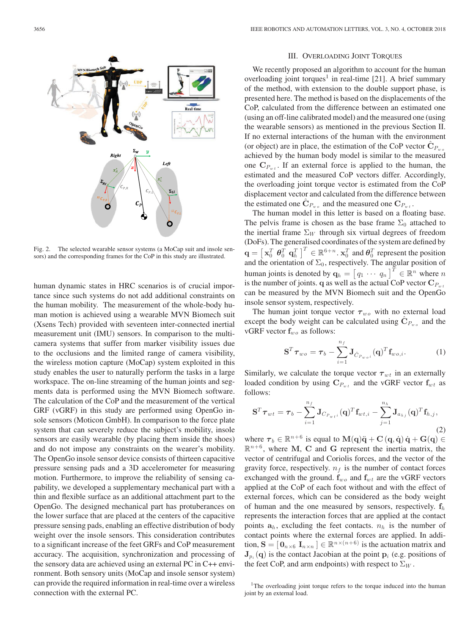

Fig. 2. The selected wearable sensor systems (a MoCap suit and insole sensors) and the corresponding frames for the CoP in this study are illustrated.

human dynamic states in HRC scenarios is of crucial importance since such systems do not add additional constraints on the human mobility. The measurement of the whole-body human motion is achieved using a wearable MVN Biomech suit (Xsens Tech) provided with seventeen inter-connected inertial measurement unit (IMU) sensors. In comparison to the multicamera systems that suffer from marker visibility issues due to the occlusions and the limited range of camera visibility, the wireless motion capture (MoCap) system exploited in this study enables the user to naturally perform the tasks in a large workspace. The on-line streaming of the human joints and segments data is performed using the MVN Biomech software. The calculation of the CoP and the measurement of the vertical GRF (vGRF) in this study are performed using OpenGo insole sensors (Moticon GmbH). In comparison to the force plate system that can severely reduce the subject's mobility, insole sensors are easily wearable (by placing them inside the shoes) and do not impose any constraints on the wearer's mobility. The OpenGo insole sensor device consists of thirteen capacitive pressure sensing pads and a 3D accelerometer for measuring motion. Furthermore, to improve the reliability of sensing capability, we developed a supplementary mechanical part with a thin and flexible surface as an additional attachment part to the OpenGo. The designed mechanical part has protuberances on the lower surface that are placed at the centers of the capacitive pressure sensing pads, enabling an effective distribution of body weight over the insole sensors. This consideration contributes to a significant increase of the feet GRFs and CoP measurement accuracy. The acquisition, synchronization and processing of the sensory data are achieved using an external PC in C++ environment. Both sensory units (MoCap and insole sensor system) can provide the required information in real-time over a wireless connection with the external PC.

#### III. OVERLOADING JOINT TORQUES

We recently proposed an algorithm to account for the human overloading joint torques<sup>1</sup> in real-time [21]. A brief summary of the method, with extension to the double support phase, is presented here. The method is based on the displacements of the CoP, calculated from the difference between an estimated one (using an off-line calibrated model) and the measured one (using the wearable sensors) as mentioned in the previous Section II. If no external interactions of the human with the environment (or object) are in place, the estimation of the CoP vector  $\hat{\mathbf{C}}_{P_{\text{max}}}$ achieved by the human body model is similar to the measured one  $\mathbf{C}_{P_{wt}}$ . If an external force is applied to the human, the estimated and the measured CoP vectors differ. Accordingly, the overloading joint torque vector is estimated from the CoP displacement vector and calculated from the difference between the estimated one  $\mathbf{C}_{P_{\text{max}}}$  and the measured one  $\mathbf{C}_{P_{\text{max}}}$ .

The human model in this letter is based on a floating base. The pelvis frame is chosen as the base frame  $\Sigma_0$  attached to the inertial frame  $\Sigma_W$  through six virtual degrees of freedom (DoFs). The generalised coordinates of the system are defined by  $\mathbf{q} = \left[\mathbf{x}_0^T \ \boldsymbol{\theta}_0^T \ \mathbf{q}_h^T\right]$  $\mathbf{C}^T \in \mathbb{R}^{6+n}$ .  $\mathbf{x}_0^T$  and  $\boldsymbol{\theta}_0^T$  represent the position and the orientation of  $\Sigma_0$ , respectively. The angular position of human joints is denoted by  $\mathbf{q}_h = \begin{bmatrix} q_1 & \cdots & q_n \end{bmatrix}^T \in \mathbb{R}^n$  where n<br>is the number of joints  $\alpha$  as well as the actual CoP vector  $\mathbf{C}_P$  $q_1 \, \cdots \, q_n$  the actual is the number of joints. **q** as well as the actual CoP vector  $\mathbf{C}_{P_w}$  as the magnus by the MVN Bigmach suit and the **OpenCo** can be measured by the MVN Biomech suit and the OpenGo insole sensor system, respectively.

The human joint torque vector  $\tau_{wo}$  with no external load except the body weight can be calculated using  $C_{P_{w}$  and the vGRF vector  $f_{wo}$  as follows:

$$
\mathbf{S}^T \boldsymbol{\tau}_{wo} = \boldsymbol{\tau}_b - \sum_{i=1}^{n_f} \mathbf{J}_{\hat{C}_{P_{wo},i}}(\mathbf{q})^T \mathbf{f}_{wo,i}.
$$
 (1)

Similarly, we calculate the torque vector  $\tau_{wt}$  in an externally loaded condition by using  $C_{P_{wt}}$  and the vGRF vector  $f_{wt}$  as follows:

$$
\mathbf{S}^T \boldsymbol{\tau}_{wt} = \boldsymbol{\tau}_b - \sum_{i=1}^{n_f} \mathbf{J}_{C_{P_{wt}i}}(\mathbf{q})^T \mathbf{f}_{wt,i} - \sum_{j=1}^{n_h} \mathbf{J}_{a_{hj}}(\mathbf{q})^T \mathbf{f}_{h,j},
$$
\n(2)

where  $\tau_b \in \mathbb{R}^{n+6}$  is equal to  $\mathbf{M}(\mathbf{q})\ddot{\mathbf{q}} + \mathbf{C}(\mathbf{q}, \dot{\mathbf{q}})\dot{\mathbf{q}} + \mathbf{G}(\mathbf{q}) \in$  $\mathbb{R}^{n+6}$ , where **M**, **C** and **G** represent the inertia matrix, the vector of centrifugal and Coriolis forces, and the vector of the gravity force, respectively.  $n_f$  is the number of contact forces exchanged with the ground.  $f_{wo}$  and  $f_{wt}$  are the vGRF vectors applied at the CoP of each foot without and with the effect of external forces, which can be considered as the body weight of human and the one measured by sensors, respectively.  $f_h$ represents the interaction forces that are applied at the contact points  $a_h$ , excluding the feet contacts.  $n_h$  is the number of contact points where the external forces are applied. In addition,  $\mathbf{S} = [\mathbf{0}_{n \times 6} \; \mathbf{I}_{n \times n}] \in \mathbb{R}^{n \times (n+6)}$  is the actuation matrix and  $J_{p_i}(q)$  is the contact Jacobian at the point  $p_i$  (e.g. positions of the feet CoP, and arm endpoints) with respect to  $\Sigma_W$ .

<sup>&</sup>lt;sup>1</sup>The overloading joint torque refers to the torque induced into the human joint by an external load.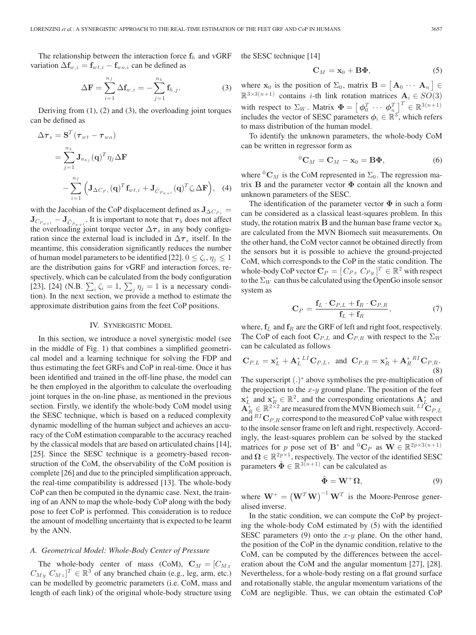The relationship between the interaction force  $f_h$  and vGRF variation  $\Delta \mathbf{f}_{w,i} = \mathbf{f}_{wt,i} - \mathbf{f}_{wo,i}$  can be defined as

$$
\Delta \mathbf{F} = \sum_{i=1}^{n_f} \Delta \mathbf{f}_{w,i} = -\sum_{j=1}^{n_h} \mathbf{f}_{h,j}.
$$
 (3)

Deriving from (1), (2) and (3), the overloading joint torques can be defined as

$$
\Delta \boldsymbol{\tau}_s = \mathbf{S}^T (\boldsymbol{\tau}_{wt} - \boldsymbol{\tau}_{wo})
$$
  
\n
$$
= \sum_{j=1}^{n_h} \mathbf{J}_{a_{hj}} (\mathbf{q})^T \eta_j \Delta \mathbf{F}
$$
  
\n
$$
- \sum_{i=1}^{n_f} \left( \mathbf{J}_{\Delta C_{Pi}} (\mathbf{q})^T \mathbf{f}_{wt,i} + \mathbf{J}_{\hat{C}_{P_{wo,i}}} (\mathbf{q})^T \zeta_i \Delta \mathbf{F} \right), \quad (4)
$$

with the Jacobian of the CoP displacement defined as  $J_{\Delta C_{Pi}} =$  $\mathbf{J}_{C_{P_{w}t}} - \mathbf{J}_{\hat{C}_{P_{w}o}t}$ . It is important to note that  $\tau_b$  does not affect the overloading joint torque vector  $\Delta \tau$  in any body configuthe overloading joint torque vector  $\Delta \tau_s$  in any body configuration since the external load is included in  $\Delta\tau_s$  itself. In the meantime, this consideration significantly reduces the number of human model parameters to be identified [22].  $0 \le \zeta_i$ ,  $\eta_j \le 1$ are the distribution gains for vGRF and interaction forces, respectively, which can be calculated from the body configuration [23], [24] (N.B.  $\sum_i \zeta_i = 1$ ,  $\sum_j \eta_j = 1$  is a necessary condition). In the next section, we provide a method to estimate the tion). In the next section, we provide a method to estimate the approximate distribution gains from the feet CoP positions.

### IV. SYNERGISTIC MODEL

In this section, we introduce a novel synergistic model (see in the middle of Fig. 1) that combines a simplified geometrical model and a learning technique for solving the FDP and thus estimating the feet GRFs and CoP in real-time. Once it has been identified and trained in the off-line phase, the model can be then employed in the algorithm to calculate the overloading joint torques in the on-line phase, as mentioned in the previous section. Firstly, we identify the whole-body CoM model using the SESC technique, which is based on a reduced complexity dynamic modelling of the human subject and achieves an accuracy of the CoM estimation comparable to the accuracy reached by the classical models that are based on articulated chains [14], [25]. Since the SESC technique is a geometry-based reconstruction of the CoM, the observability of the CoM position is complete [26] and due to the principled simplification approach, the real-time compatibility is addressed [13]. The whole-body CoP can then be computed in the dynamic case. Next, the training of an ANN to map the whole-body CoP along with the body pose to feet CoP is performed. This consideration is to reduce the amount of modelling uncertainty that is expected to be learnt by the ANN.

## *A. Geometrical Model: Whole-Body Center of Pressure*

The whole-body center of mass (CoM),  $C_M = [C_{Mx}]$  $C_{My} C_{Mz} | z^T \in \mathbb{R}^3$  of any branched chain (e.g., leg, arm, etc.)<br>can be modelled by geometric parameters (i.e. CoM, mass and can be modelled by geometric parameters (i.e. CoM, mass and length of each link) of the original whole-body structure using the SESC technique [14]

$$
\mathbf{C}_M = \mathbf{x}_0 + \mathbf{B}\mathbf{\Phi},\tag{5}
$$

where  $\mathbf{x}_0$  is the position of  $\Sigma_0$ , matrix  $\mathbf{B} = [\mathbf{A}_0 \cdots \mathbf{A}_n] \in \mathbb{R}^{3 \times 3(n+1)}$  $\mathbb{R}^{3 \times 3(n+1)}$  contains *i*-th link rotation matrices  $\mathbf{A}_i \in SO(3)$ with respect to  $\Sigma_W$ . Matrix  $\mathbf{\Phi} = \begin{bmatrix} \phi_0^T & \cdots & \phi_n^T \end{bmatrix}^T \in \mathbb{R}^{3(n+1)}$ includes the vector of SESC parameters  $\phi_i \in \mathbb{R}^3$ , which refers to mass distribution of the human model.

To identify the unknown parameters, the whole-body CoM can be written in regressor form as

$$
{}^{0}\mathbf{C}_{M} = \mathbf{C}_{M} - \mathbf{x}_{0} = \mathbf{B}\mathbf{\Phi}, \tag{6}
$$

where  ${}^{0}C_M$  is the CoM represented in  $\Sigma_0$ . The regression matrix **B** and the parameter vector **Φ** contain all the known and unknown parameters of the SESC.

The identification of the parameter vector **Φ** in such a form can be considered as a classical least-squares problem. In this study, the rotation matrix  $\bf{B}$  and the human base frame vector  $\bf{x}_0$ are calculated from the MVN Biomech suit measurements. On the other hand, the CoM vector cannot be obtained directly from the sensors but it is possible to achieve the ground-projected CoM, which corresponds to the CoP in the static condition. The whole-body CoP vector  $\mathbf{C}_P = [C_{Px} C_{Py}]^T \in \mathbb{R}^2$  with respect to the  $\Sigma_{yx}$  can thus be calculated using the **OpenGo** insole sensor to the  $\Sigma_W$  can thus be calculated using the OpenGo insole sensor system as

$$
\mathbf{C}_P = \frac{\mathbf{f}_L \cdot \mathbf{C}_{P,L} + \mathbf{f}_R \cdot \mathbf{C}_{P,R}}{\mathbf{f}_L + \mathbf{f}_R},\tag{7}
$$

where,  $f_L$  and  $f_R$  are the GRF of left and right foot, respectively. The CoP of each foot  $C_{P,L}$  and  $C_{P,R}$  with respect to the  $\Sigma_W$ can be calculated as follows

$$
\mathbf{C}_{P,L} = \mathbf{x}_L^* + \mathbf{A}_L^{* \;LI} \mathbf{C}_{P,L}, \text{ and } \mathbf{C}_{P,R} = \mathbf{x}_R^* + \mathbf{A}_R^{* \;RI} \mathbf{C}_{P,R}.
$$
\n(8)

The superscript (.)<sup>\*</sup> above symbolises the pre-multiplication of the projection to the  $x$ -*u* ground plane. The position of the feet the projection to the *x*-*y* ground plane. The position of the feet  $\mathbf{x}_L^*$  and  $\mathbf{x}_R^* \in \mathbb{R}^{2 \times 2}$  are measured from the MVN Biomech suit. <sup>LI</sup> **C**<sub>P,L</sub> and  $^{RI}$  **C**<sub>D</sub>, a correspond to the measured GoP value and  $^{RI}$ **C**<sub>P,R</sub> correspond to the measured CoP value with respect to the insole sensor frame on left and right, respectively. Accordingly, the least-squares problem can be solved by the stacked matrices for p pose set of **B**<sup>∗</sup> and <sup>0</sup>**C**<sub>P</sub> as **W**  $\in \mathbb{R}^{2p \times 3(n+1)}$ and  $\Omega \in \mathbb{R}^{2p \times 1}$ , respectively. The vector of the identified SESC parameters  $\hat{\Phi} \in \mathbb{R}^{3(n+1)}$  can be calculated as

$$
\hat{\Phi} = \mathbf{W}^+ \Omega, \tag{9}
$$

where  $\mathbf{W}^+ = \left(\mathbf{W}^T \mathbf{W}\right)^{-1} \mathbf{W}^T$  is the Moore-Penrose generalised inverse.

In the static condition, we can compute the CoP by projecting the whole-body CoM estimated by (5) with the identified SESC parameters (9) onto the  $x-y$  plane. On the other hand, the position of the CoP in the dynamic condition, relative to the CoM, can be computed by the differences between the acceleration about the CoM and the angular momentum [27], [28]. Nevertheless, for a whole-body resting on a flat ground surface and rotationally stable, the angular momentum variations of the CoM are negligible. Thus, we can obtain the estimated CoP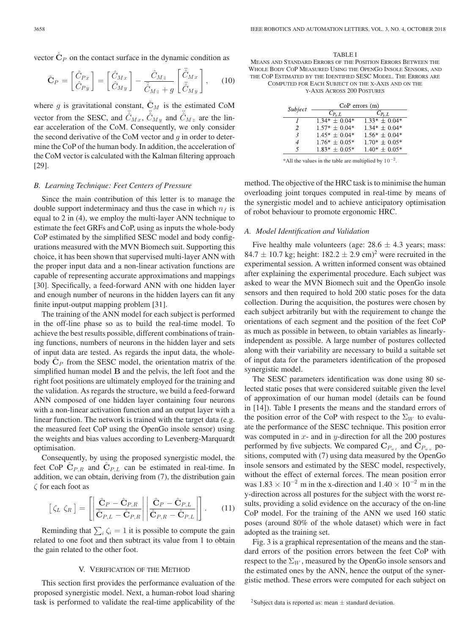vector  $\hat{\mathbf{C}}_P$  on the contact surface in the dynamic condition as

$$
\hat{\mathbf{C}}_P = \begin{bmatrix} \hat{C}_{Px} \\ \hat{C}_{Py} \end{bmatrix} = \begin{bmatrix} \hat{C}_{Mx} \\ \hat{C}_{My} \end{bmatrix} - \frac{\hat{C}_{Mz}}{\hat{C}_{Mz} + g} \begin{bmatrix} \ddot{\hat{C}}_{Mx} \\ \ddot{\hat{C}}_{My} \end{bmatrix}, \quad (10)
$$

where g is gravitational constant,  $\hat{\mathbf{C}}_M$  is the estimated CoM vector from the SESC, and  $\ddot{C}_{Mx}$ ,  $\ddot{C}_{My}$  and  $\ddot{C}_{Mz}$  are the linear acceleration of the CoM. Consequently, we only consider the second derivative of the CoM vector and  $g$  in order to determine the CoP of the human body. In addition, the acceleration of the CoM vector is calculated with the Kalman filtering approach [29].

### *B. Learning Technique: Feet Centers of Pressure*

Since the main contribution of this letter is to manage the double support indeterminacy and thus the case in which  $n_f$  is equal to 2 in (4), we employ the multi-layer ANN technique to estimate the feet GRFs and CoP, using as inputs the whole-body CoP estimated by the simplified SESC model and body configurations measured with the MVN Biomech suit. Supporting this choice, it has been shown that supervised multi-layer ANN with the proper input data and a non-linear activation functions are capable of representing accurate approximations and mappings [30]. Specifically, a feed-forward ANN with one hidden layer and enough number of neurons in the hidden layers can fit any finite input-output mapping problem [31].

The training of the ANN model for each subject is performed in the off-line phase so as to build the real-time model. To achieve the best results possible, different combinations of training functions, numbers of neurons in the hidden layer and sets of input data are tested. As regards the input data, the wholebody  $\hat{\mathbf{C}}_P$  from the SESC model, the orientation matrix of the simplified human model **B** and the pelvis, the left foot and the right foot positions are ultimately employed for the training and the validation. As regards the structure, we build a feed-forward ANN composed of one hidden layer containing four neurons with a non-linear activation function and an output layer with a linear function. The network is trained with the target data (e.g. the measured feet CoP using the OpenGo insole sensor) using the weights and bias values according to Levenberg-Marquardt optimisation.

Consequently, by using the proposed synergistic model, the feet CoP  $C_{P,R}$  and  $C_{P,L}$  can be estimated in real-time. In addition, we can obtain, deriving from (7), the distribution gain ζ for each foot as

$$
\begin{bmatrix} \zeta_L & \zeta_R \end{bmatrix} = \left[ \left| \frac{\hat{\mathbf{C}}_P - \hat{\mathbf{C}}_{P,R}}{\hat{\mathbf{C}}_{P,L} - \hat{\mathbf{C}}_{P,R}} \right| \left| \frac{\hat{\mathbf{C}}_P - \hat{\mathbf{C}}_{P,L}}{\hat{\mathbf{C}}_{P,R} - \hat{\mathbf{C}}_{P,L}} \right| \right]. \tag{11}
$$

Reminding that  $\sum_i \zeta_i = 1$  it is possible to compute the gain<br>ated to one foot and then subtract its value from 1 to obtain related to one foot and then subtract its value from 1 to obtain the gain related to the other foot.

## V. VERIFICATION OF THE METHOD

This section first provides the performance evaluation of the proposed synergistic model. Next, a human-robot load sharing task is performed to validate the real-time applicability of the

TABLE I MEANS AND STANDARD ERRORS OF THE POSITION ERRORS BETWEEN THE WHOLE BODY COP MEASURED USING THE OPENGO INSOLE SENSORS, AND THE COP ESTIMATED BY THE IDENTIFIED SESC MODEL. THE ERRORS ARE COMPUTED FOR EACH SUBJECT ON THE X-AXIS AND ON THE Y-AXIS ACROSS 200 POSTURES

| Subject | $CoP$ errors $(m)$ |                   |
|---------|--------------------|-------------------|
|         | $C_{P_r,L}$        |                   |
|         | $1.34* + 0.04*$    | $1.33* \pm 0.04*$ |
| 2       | $1.57* + 0.04*$    | $1.34* + 0.04*$   |
| 3       | $1.45* + 0.04*$    | $1.56* + 0.04*$   |
|         | $1.76* + 0.05*$    | $1.70^* + 0.05^*$ |
| 5       | $1.83* + 0.05*$    | $1.40* + 0.05*$   |

\*All the values in the table are multiplied by  $10^{-2}$ .

method. The objective of the HRC task is to minimise the human overloading joint torques computed in real-time by means of the synergistic model and to achieve anticipatory optimisation of robot behaviour to promote ergonomic HRC.

#### *A. Model Identification and Validation*

Five healthy male volunteers (age:  $28.6 \pm 4.3$  years; mass: 84.7  $\pm$  10.7 kg; height: 182.2  $\pm$  2.9 cm)<sup>2</sup> were recruited in the experimental session. A written informed consent was obtained after explaining the experimental procedure. Each subject was asked to wear the MVN Biomech suit and the OpenGo insole sensors and then required to hold 200 static poses for the data collection. During the acquisition, the postures were chosen by each subject arbitrarily but with the requirement to change the orientations of each segment and the position of the feet CoP as much as possible in between, to obtain variables as linearlyindependent as possible. A large number of postures collected along with their variability are necessary to build a suitable set of input data for the parameters identification of the proposed synergistic model.

The SESC parameters identification was done using 80 selected static poses that were considered suitable given the level of approximation of our human model (details can be found in [14]). Table I presents the means and the standard errors of the position error of the CoP with respect to the  $\Sigma_W$  to evaluate the performance of the SESC technique. This position error was computed in  $x$ - and in  $y$ -direction for all the 200 postures performed by five subjects. We compared  $\mathbf{C}_{P_{w,t}}$  and  $\mathbf{C}_{P_{w,t}}$  positions, computed with (7) using data measured by the OpenGo insole sensors and estimated by the SESC model, respectively, without the effect of external forces. The mean position error was  $1.83 \times 10^{-2}$  m in the x-direction and  $1.40 \times 10^{-2}$  m in the y-direction across all postures for the subject with the worst results, providing a solid evidence on the accuracy of the on-line CoP model. For the training of the ANN we used 160 static poses (around 80% of the whole dataset) which were in fact adopted as the training set.

Fig. 3 is a graphical representation of the means and the standard errors of the position errors between the feet CoP with respect to the  $\Sigma_W$ , measured by the OpenGo insole sensors and the estimated ones by the ANN, hence the output of the synergistic method. These errors were computed for each subject on

<sup>&</sup>lt;sup>2</sup>Subject data is reported as: mean  $\pm$  standard deviation.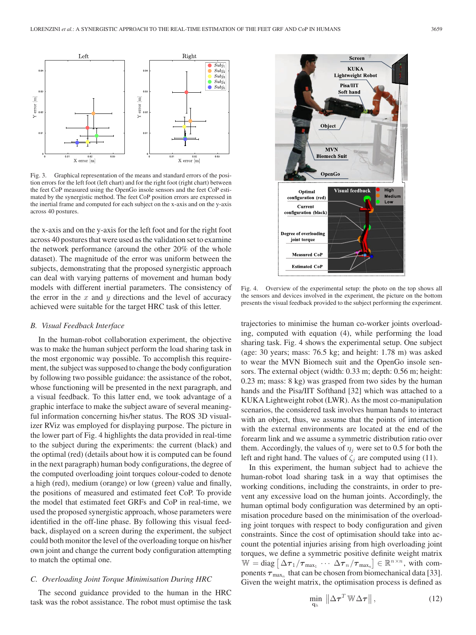

Fig. 3. Graphical representation of the means and standard errors of the position errors for the left foot (left chart) and for the right foot (right chart) between the feet CoP measured using the OpenGo insole sensors and the feet CoP estimated by the synergistic method. The feet CoP position errors are expressed in the inertial frame and computed for each subject on the x-axis and on the y-axis across 40 postures.

the x-axis and on the y-axis for the left foot and for the right foot across 40 postures that were used as the validation set to examine the network performance (around the other 20% of the whole dataset). The magnitude of the error was uniform between the subjects, demonstrating that the proposed synergistic approach can deal with varying patterns of movement and human body models with different inertial parameters. The consistency of the error in the  $x$  and  $y$  directions and the level of accuracy achieved were suitable for the target HRC task of this letter.

#### *B. Visual Feedback Interface*

In the human-robot collaboration experiment, the objective was to make the human subject perform the load sharing task in the most ergonomic way possible. To accomplish this requirement, the subject was supposed to change the body configuration by following two possible guidance: the assistance of the robot, whose functioning will be presented in the next paragraph, and a visual feedback. To this latter end, we took advantage of a graphic interface to make the subject aware of several meaningful information concerning his/her status. The ROS 3D visualizer RViz was employed for displaying purpose. The picture in the lower part of Fig. 4 highlights the data provided in real-time to the subject during the experiments: the current (black) and the optimal (red) (details about how it is computed can be found in the next paragraph) human body configurations, the degree of the computed overloading joint torques colour-coded to denote a high (red), medium (orange) or low (green) value and finally, the positions of measured and estimated feet CoP. To provide the model that estimated feet GRFs and CoP in real-time, we used the proposed synergistic approach, whose parameters were identified in the off-line phase. By following this visual feedback, displayed on a screen during the experiment, the subject could both monitor the level of the overloading torque on his/her own joint and change the current body configuration attempting to match the optimal one.

## *C. Overloading Joint Torque Minimisation During HRC*

The second guidance provided to the human in the HRC task was the robot assistance. The robot must optimise the task



Fig. 4. Overview of the experimental setup: the photo on the top shows all the sensors and devices involved in the experiment, the picture on the bottom presents the visual feedback provided to the subject performing the experiment.

trajectories to minimise the human co-worker joints overloading, computed with equation (4), while performing the load sharing task. Fig. 4 shows the experimental setup. One subject (age: 30 years; mass: 76.5 kg; and height: 1.78 m) was asked to wear the MVN Biomech suit and the OpenGo insole sensors. The external object (width: 0.33 m; depth: 0.56 m; height: 0.23 m; mass: 8 kg) was grasped from two sides by the human hands and the Pisa/IIT Softhand [32] which was attached to a KUKA Lightweight robot (LWR). As the most co-manipulation scenarios, the considered task involves human hands to interact with an object, thus, we assume that the points of interaction with the external environments are located at the end of the forearm link and we assume a symmetric distribution ratio over them. Accordingly, the values of  $\eta_j$  were set to 0.5 for both the left and right hand. The values of  $\zeta_j$  are computed using (11).

In this experiment, the human subject had to achieve the human-robot load sharing task in a way that optimises the working conditions, including the constraints, in order to prevent any excessive load on the human joints. Accordingly, the human optimal body configuration was determined by an optimisation procedure based on the minimisation of the overloading joint torques with respect to body configuration and given constraints. Since the cost of optimisation should take into account the potential injuries arising from high overloading joint torques, we define a symmetric positive definite weight matrix  $\mathbb{W} = \text{diag} \left[ \Delta \tau_1 / \tau_{\text{max}_1} \cdots \Delta \tau_n / \tau_{\text{max}_n} \right] \in \mathbb{R}^{n \times n}$ , with com-<br>popents  $\tau$  that can be chosen from biomechanical data [33] ponents  $\tau_{\text{max}_n}$  that can be chosen from biomechanical data [33]. Given the weight matrix, the optimisation process is defined as

$$
\min_{\mathbf{q}_h} \|\Delta \boldsymbol{\tau}^T \mathbb{W} \Delta \boldsymbol{\tau}\|,\tag{12}
$$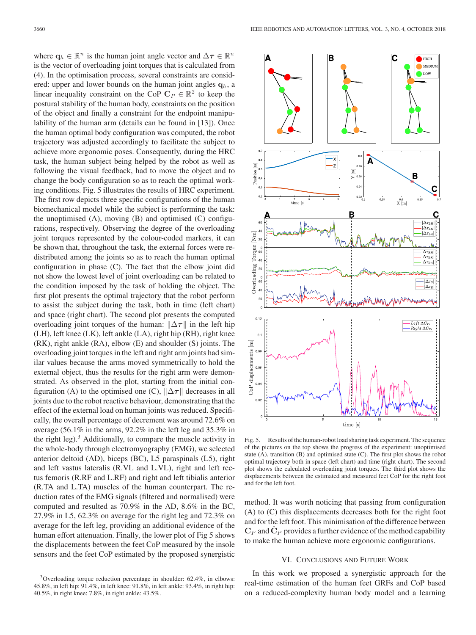where  $\mathbf{q}_h \in \mathbb{R}^n$  is the human joint angle vector and  $\Delta \tau \in \mathbb{R}^n$ is the vector of overloading joint torques that is calculated from (4). In the optimisation process, several constraints are considered: upper and lower bounds on the human joint angles  $q_h$ , a linear inequality constraint on the CoP  $C_P \in \mathbb{R}^2$  to keep the postural stability of the human body, constraints on the position of the object and finally a constraint for the endpoint manipulability of the human arm (details can be found in [13]). Once the human optimal body configuration was computed, the robot trajectory was adjusted accordingly to facilitate the subject to achieve more ergonomic poses. Consequently, during the HRC task, the human subject being helped by the robot as well as following the visual feedback, had to move the object and to change the body configuration so as to reach the optimal working conditions. Fig. 5 illustrates the results of HRC experiment. The first row depicts three specific configurations of the human biomechanical model while the subject is performing the task: the unoptimised  $(A)$ , moving  $(B)$  and optimised  $(C)$  configurations, respectively. Observing the degree of the overloading joint torques represented by the colour-coded markers, it can be shown that, throughout the task, the external forces were redistributed among the joints so as to reach the human optimal configuration in phase (C). The fact that the elbow joint did not show the lowest level of joint overloading can be related to the condition imposed by the task of holding the object. The first plot presents the optimal trajectory that the robot perform to assist the subject during the task, both in time (left chart) and space (right chart). The second plot presents the computed overloading joint torques of the human:  $\|\Delta \tau\|$  in the left hip (LH), left knee (LK), left ankle (LA), right hip (RH), right knee (RK), right ankle (RA), elbow (E) and shoulder (S) joints. The overloading joint torques in the left and right arm joints had similar values because the arms moved symmetrically to hold the external object, thus the results for the right arm were demonstrated. As observed in the plot, starting from the initial configuration (A) to the optimised one (C),  $\|\Delta \tau\|$  decreases in all joints due to the robot reactive behaviour, demonstrating that the effect of the external load on human joints was reduced. Specifically, the overall percentage of decrement was around 72.6% on average (56.1% in the arms, 92.2% in the left leg and 35.3% in the right leg). $3$  Additionally, to compare the muscle activity in the whole-body through electromyography (EMG), we selected anterior deltoid (AD), biceps (BC), L5 paraspinals (L5), right and left vastus lateralis (R.VL and L.VL), right and left rectus femoris (R.RF and L.RF) and right and left tibialis anterior (R.TA and L.TA) muscles of the human counterpart. The reduction rates of the EMG signals (filtered and normalised) were computed and resulted as 70.9% in the AD, 8.6% in the BC, 27.9% in L5, 62.3% on average for the right leg and 72.3% on average for the left leg, providing an additional evidence of the human effort attenuation. Finally, the lower plot of Fig 5 shows the displacements between the feet CoP measured by the insole sensors and the feet CoP estimated by the proposed synergistic



Fig. 5. Results of the human-robot load sharing task experiment. The sequence of the pictures on the top shows the progress of the experiment: unoptimised state (A), transition (B) and optimised state (C). The first plot shows the robot optimal trajectory both in space (left chart) and time (right chart). The second plot shows the calculated overloading joint torques. The third plot shows the displacements between the estimated and measured feet CoP for the right foot and for the left foot.

method. It was worth noticing that passing from configuration (A) to (C) this displacements decreases both for the right foot and for the left foot. This minimisation of the difference between  $\mathbf{C}_P$  and  $\mathbf{C}_P$  provides a further evidence of the method capability to make the human achieve more ergonomic configurations.

## VI. CONCLUSIONS AND FUTURE WORK

In this work we proposed a synergistic approach for the real-time estimation of the human feet GRFs and CoP based on a reduced-complexity human body model and a learning

 $3$ Overloading torque reduction percentage in shoulder: 62.4%, in elbows: 45.8%, in left hip: 91.4%, in left knee: 91.8%, in left ankle: 93.4%, in right hip: 40.5%, in right knee: 7.8%, in right ankle: 43.5%.